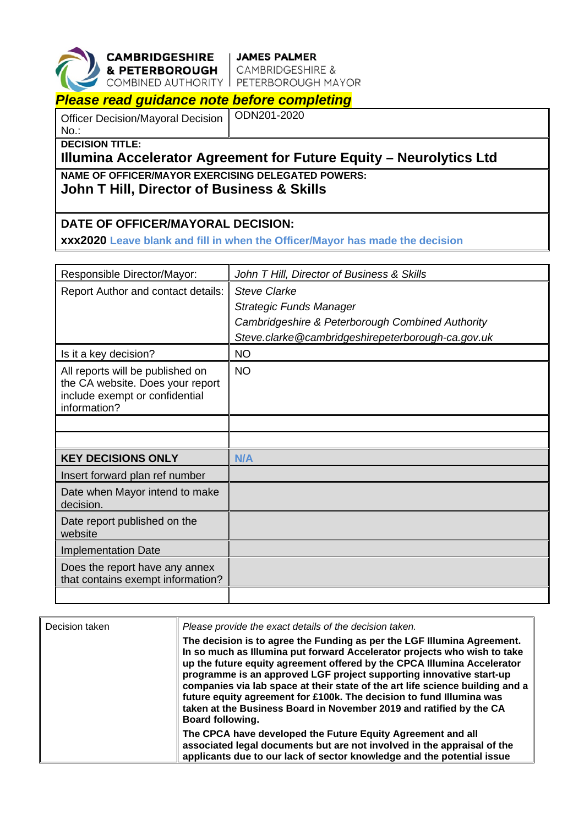

**CAMBRIDGESHIRE** JAMES PALMER<br>
& PETERBOROUGH CAMBRIDGESHIRE &<br>
COMBINED AUTHORITY PETERBOROUGH MAYOR

## *Please read guidance note before completing*

Officer Decision/Mayoral Decision No.:

ODN201-2020

**DECISION TITLE:**

## **Illumina Accelerator Agreement for Future Equity – Neurolytics Ltd**

**NAME OF OFFICER/MAYOR EXERCISING DELEGATED POWERS:**

**John T Hill, Director of Business & Skills**

## **DATE OF OFFICER/MAYORAL DECISION:**

**xxx2020 Leave blank and fill in when the Officer/Mayor has made the decision**

| Responsible Director/Mayor:                                                                                            | John T Hill, Director of Business & Skills        |
|------------------------------------------------------------------------------------------------------------------------|---------------------------------------------------|
| Report Author and contact details:                                                                                     | <b>Steve Clarke</b>                               |
|                                                                                                                        | <b>Strategic Funds Manager</b>                    |
|                                                                                                                        | Cambridgeshire & Peterborough Combined Authority  |
|                                                                                                                        | Steve.clarke@cambridgeshirepeterborough-ca.gov.uk |
| Is it a key decision?                                                                                                  | <b>NO</b>                                         |
| All reports will be published on<br>the CA website. Does your report<br>include exempt or confidential<br>information? | <b>NO</b>                                         |
|                                                                                                                        |                                                   |
|                                                                                                                        |                                                   |
| <b>KEY DECISIONS ONLY</b>                                                                                              | N/A                                               |
| Insert forward plan ref number                                                                                         |                                                   |
| Date when Mayor intend to make<br>decision.                                                                            |                                                   |
| Date report published on the<br>website                                                                                |                                                   |
| <b>Implementation Date</b>                                                                                             |                                                   |
| Does the report have any annex<br>that contains exempt information?                                                    |                                                   |
|                                                                                                                        |                                                   |

| Decision taken | Please provide the exact details of the decision taken.                                                                                                                                                                                                                                                                                                                                                                                                                                                                                                          |
|----------------|------------------------------------------------------------------------------------------------------------------------------------------------------------------------------------------------------------------------------------------------------------------------------------------------------------------------------------------------------------------------------------------------------------------------------------------------------------------------------------------------------------------------------------------------------------------|
|                | The decision is to agree the Funding as per the LGF Illumina Agreement.<br>In so much as Illumina put forward Accelerator projects who wish to take<br>up the future equity agreement offered by the CPCA Illumina Accelerator<br>programme is an approved LGF project supporting innovative start-up<br>companies via lab space at their state of the art life science building and a<br>future equity agreement for £100k. The decision to fund Illumina was<br>taken at the Business Board in November 2019 and ratified by the CA<br><b>Board following.</b> |
|                | The CPCA have developed the Future Equity Agreement and all<br>associated legal documents but are not involved in the appraisal of the<br>applicants due to our lack of sector knowledge and the potential issue                                                                                                                                                                                                                                                                                                                                                 |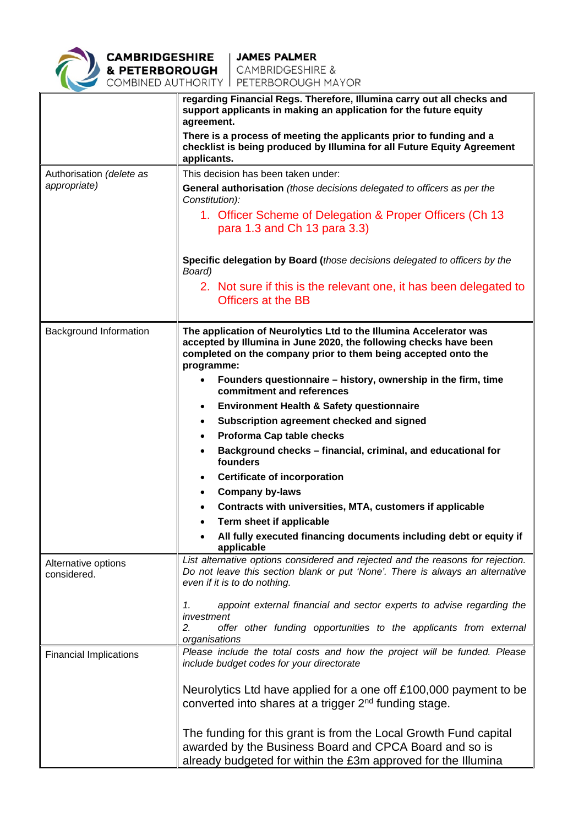

|                                    | regarding Financial Regs. Therefore, Illumina carry out all checks and<br>support applicants in making an application for the future equity<br>agreement.                                                               |  |  |
|------------------------------------|-------------------------------------------------------------------------------------------------------------------------------------------------------------------------------------------------------------------------|--|--|
|                                    | There is a process of meeting the applicants prior to funding and a<br>checklist is being produced by Illumina for all Future Equity Agreement<br>applicants.                                                           |  |  |
| Authorisation (delete as           | This decision has been taken under:                                                                                                                                                                                     |  |  |
| appropriate)                       | General authorisation (those decisions delegated to officers as per the                                                                                                                                                 |  |  |
|                                    | Constitution):                                                                                                                                                                                                          |  |  |
|                                    | 1. Officer Scheme of Delegation & Proper Officers (Ch 13)<br>para 1.3 and Ch 13 para 3.3)                                                                                                                               |  |  |
|                                    | Specific delegation by Board (those decisions delegated to officers by the<br>Board)                                                                                                                                    |  |  |
|                                    | 2. Not sure if this is the relevant one, it has been delegated to<br><b>Officers at the BB</b>                                                                                                                          |  |  |
|                                    |                                                                                                                                                                                                                         |  |  |
| Background Information             | The application of Neurolytics Ltd to the Illumina Accelerator was<br>accepted by Illumina in June 2020, the following checks have been<br>completed on the company prior to them being accepted onto the<br>programme: |  |  |
|                                    | Founders questionnaire – history, ownership in the firm, time<br>$\bullet$<br>commitment and references                                                                                                                 |  |  |
|                                    | <b>Environment Health &amp; Safety questionnaire</b><br>٠                                                                                                                                                               |  |  |
|                                    | Subscription agreement checked and signed<br>٠                                                                                                                                                                          |  |  |
|                                    | Proforma Cap table checks<br>$\bullet$                                                                                                                                                                                  |  |  |
|                                    | Background checks - financial, criminal, and educational for<br>$\bullet$<br>founders                                                                                                                                   |  |  |
|                                    | <b>Certificate of incorporation</b><br>٠                                                                                                                                                                                |  |  |
|                                    | <b>Company by-laws</b><br>$\bullet$                                                                                                                                                                                     |  |  |
|                                    | Contracts with universities, MTA, customers if applicable                                                                                                                                                               |  |  |
|                                    | Term sheet if applicable                                                                                                                                                                                                |  |  |
|                                    | All fully executed financing documents including debt or equity if<br>applicable                                                                                                                                        |  |  |
| Alternative options<br>considered. | List alternative options considered and rejected and the reasons for rejection.<br>Do not leave this section blank or put 'None'. There is always an alternative<br>even if it is to do nothing.                        |  |  |
|                                    | appoint external financial and sector experts to advise regarding the<br>1.<br>investment                                                                                                                               |  |  |
|                                    | 2.<br>offer other funding opportunities to the applicants from external<br>organisations                                                                                                                                |  |  |
| <b>Financial Implications</b>      | Please include the total costs and how the project will be funded. Please<br>include budget codes for your directorate                                                                                                  |  |  |
|                                    | Neurolytics Ltd have applied for a one off £100,000 payment to be<br>converted into shares at a trigger 2 <sup>nd</sup> funding stage.                                                                                  |  |  |
|                                    | The funding for this grant is from the Local Growth Fund capital<br>awarded by the Business Board and CPCA Board and so is<br>already budgeted for within the £3m approved for the Illumina                             |  |  |